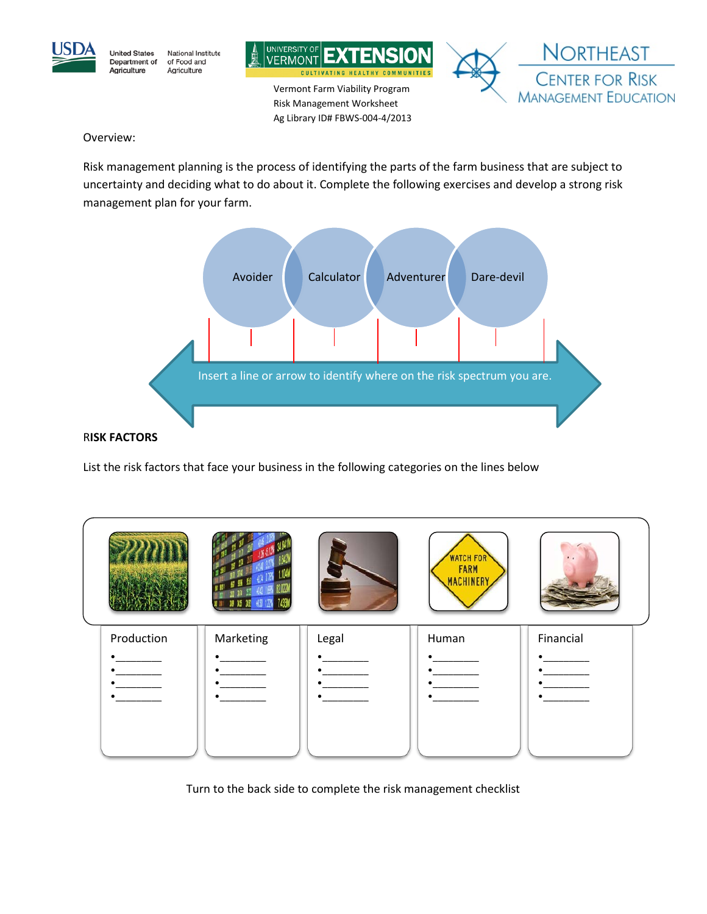





Vermont Farm Viability Program Risk Management Worksheet Ag Library ID# FBWS-004-4/2013



Overview:

Risk management planning is the process of identifying the parts of the farm business that are subject to uncertainty and deciding what to do about it. Complete the following exercises and develop a strong risk management plan for your farm.



## R**ISK FACTORS**

List the risk factors that face your business in the following categories on the lines below



Turn to the back side to complete the risk management checklist